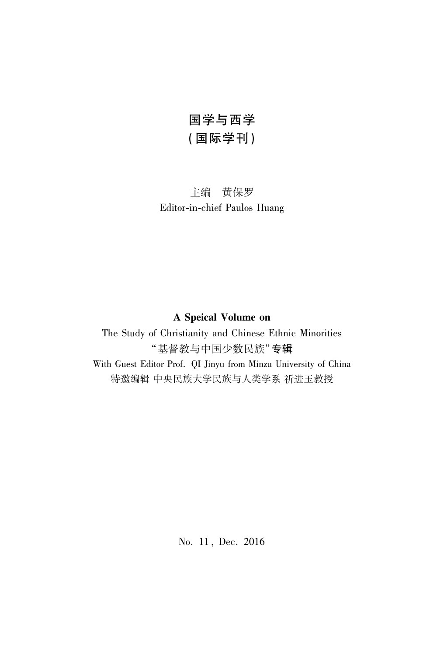## 国学与西学 (国际学刊)

#### 主编 黄保罗 Editor-in-chief Paulos Huang

### A Speical Volume on

The Study of Christianity and Chinese Ethnic Minorities "基督教与中国少数民族"专辑

With Guest Editor Prof. QI Jinyu from Minzu University of China 特邀编辑 中央民族大学民族与人类学系 祈进玉教授

No. 11, Dec. 2016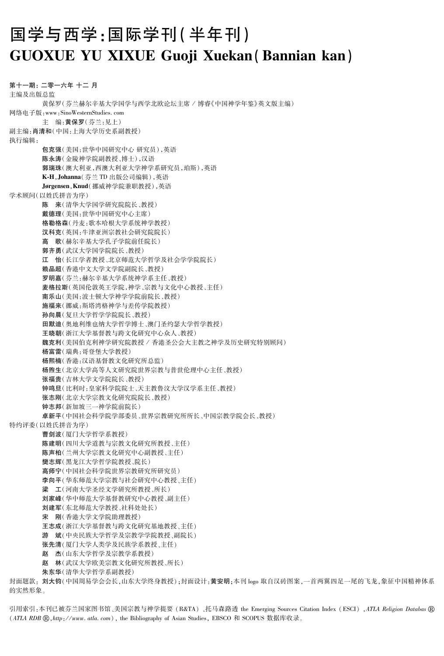# 国学与西学:国际学刊(半年刊) **GUOXUE YU XIXUE Guoji Xuekan (Bannian kan)**

第十一期: 二零一六年 十二 月 主编及出版总监 黄保罗(芬兰赫尔辛基大学国学与西学北欧论坛主席 / 博睿《中国神学年鉴》英文版主编) 网络电子版: www: SinoWesternStudies.com 主 编:黄保罗(芬兰:见上) 副主编:肖清和(中国:上海大学历史系副教授) 执行编辑: 包克强(美国:世华中国研究中心研究员),英语 陈永涛(金陵神学院副教授、博士),汉语 郭瑞珠(澳大利亚,西澳大利亚大学神学系研究员,珀斯),英语 K-H, Johanna (芬兰 TD 出版公司编辑), 英语 Jørgensen, Knud (挪威神学院兼职教授), 英语 学术顾问(以姓氏拼音为序) 陈 来(清华大学国学研究院院长、教授) 戴德理(美国:世华中国研究中心主席) 格勒格森(丹麦:歌本哈根大学系统神学教授) 汉科克(英国,牛津亚洲宗教社会研究院院长) 高 歌(赫尔辛基大学孔子学院前任院长) 郭齐勇(武汉大学国学院院长、教授) 江 怡(长江学者教授、北京师范大学哲学及社会学学院院长) 赖品超(香港中文大学文学院副院长、教授) 罗明嘉(芬兰:赫尔辛基大学系统神学系主任、教授) 麦格拉斯(英国伦敦英王学院,神学、宗教与文化中心教授、主任) 南乐山(美国:波士顿大学神学学院前院长、教授) 施福来(挪威:斯塔湾格神学与差传学院教授) 孙向晨(复旦大学哲学学院院长、教授) 田默迪(奥地利维也纳大学哲学博士、澳门圣约瑟大学哲学教授) 王晓朝(浙江大学基督教与跨文化研究中心众人、教授) 魏克利(美国伯克利神学研究院教授 / 香港圣公会大主教之神学及历史研究特别顾问) 杨富雷(瑞典:哥登堡大学教授) 杨熙楠(香港:汉语基督教文化研究所总监) 杨煦生(北京大学高等人文研究院世界宗教与普世伦理中心主任、教授) 张福贵(吉林大学文学院院长、教授) 钟鸣旦(比利时:皇家科学院院士、天主教鲁汶大学汉学系主任、教授) 张志刚(北京大学宗教文化研究院院长、教授) 钟志邦(新加坡三一神学院前院长) 卓新平(中国社会科学院学部委员、世界宗教研究所所长、中国宗教学院会长、教授) 特约评委(以姓氏拼音为序) 曹剑波(厦门大学哲学系教授) 陈建明(四川大学道教与宗教文化研究所教授、主任) 陈声柏(兰州大学宗教文化研究中心副教授、主任) 樊志辉(黑龙江大学哲学院教授、院长) 高师宁(中国社会科学院世界宗教研究所研究员) 李向平(华东师范大学宗教与社会研究中心教授、主任) 梁 工(河南大学圣经文学研究所教授、所长) 刘家峰(华中师范大学基督教研究中心教授、副主任) 刘建军(东北师范大学教授、社科处处长) 宋 刚(香港大学文学院助理教授) 王志成(浙江大学基督教与跨文化研究基地教授、主任) 游 斌(中央民族大学哲学及宗教学学院教授、副院长) 张先清(厦门大学人类学及民族学系教授、主任) 赵 杰(山东大学哲学及宗教学系教授) 赵 林(武汉大学欧美宗教文化研究所教授、所长) 朱东华(清华大学哲学系副教授) 封面题款: 刘大钧(中国周易学会会长,山东大学终身教授);封面设计:黄安明;本刊 logo 取自汉砖图案,一首两翼四足一尾的飞龙,象征中国精神体系

引用索引:本刊已被芬兰国家图书馆、美国宗教与神学提要 (R&TA)、托马森路透 the Emerging Sources Citation Index (ESCI), ATLA Religion Databas ® (ATLA RDB ®, http://www.atla.com), the Bibliography of Asian Studies, EBSCO 和 SCOPUS 数据库收录。

的实然形象。